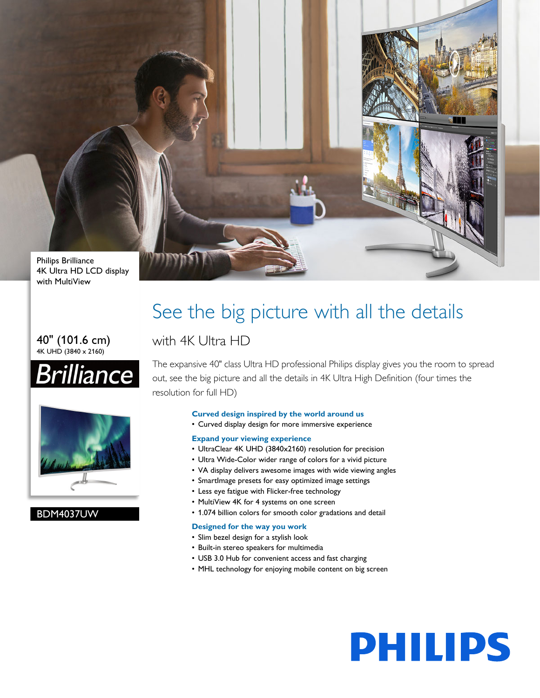

4K Ultra HD LCD display with MultiView

#### 40" (101.6 cm) 4K UHD (3840 x 2160)





#### BDM4037UW

## See the big picture with all the details

### with 4K Ultra HD

The expansive 40" class Ultra HD professional Philips display gives you the room to spread out, see the big picture and all the details in 4K Ultra High Definition (four times the resolution for full HD)

#### **Curved design inspired by the world around us**

• Curved display design for more immersive experience

#### **Expand your viewing experience**

- UltraClear 4K UHD (3840x2160) resolution for precision
- Ultra Wide-Color wider range of colors for a vivid picture
- VA display delivers awesome images with wide viewing angles
- SmartImage presets for easy optimized image settings
- Less eye fatigue with Flicker-free technology
- MultiView 4K for 4 systems on one screen
- 1.074 billion colors for smooth color gradations and detail

#### **Designed for the way you work**

- Slim bezel design for a stylish look
- Built-in stereo speakers for multimedia
- USB 3.0 Hub for convenient access and fast charging
- MHL technology for enjoying mobile content on big screen

# **PHILIPS**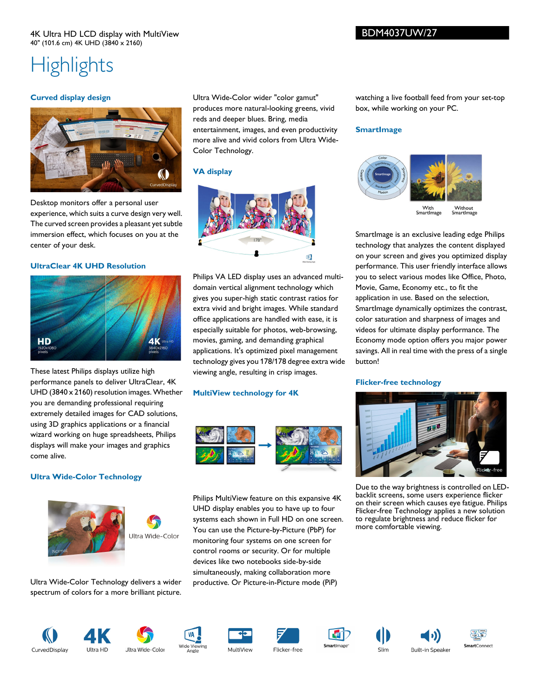### **Highlights**

#### **Curved display design**



Desktop monitors offer a personal user experience, which suits a curve design very well. The curved screen provides a pleasant yet subtle immersion effect, which focuses on you at the center of your desk.

#### **UltraClear 4K UHD Resolution**



These latest Philips displays utilize high performance panels to deliver UltraClear, 4K UHD (3840 x 2160) resolution images. Whether you are demanding professional requiring extremely detailed images for CAD solutions, using 3D graphics applications or a financial wizard working on huge spreadsheets, Philips displays will make your images and graphics come alive.

#### **Ultra Wide-Color Technology**



Ultra Wide-Color Technology delivers a wider spectrum of colors for a more brilliant picture. Ultra Wide-Color wider "color gamut" produces more natural-looking greens, vivid reds and deeper blues. Bring, media entertainment, images, and even productivity more alive and vivid colors from Ultra Wide-Color Technology.

#### **VA display**



Philips VA LED display uses an advanced multidomain vertical alignment technology which gives you super-high static contrast ratios for extra vivid and bright images. While standard office applications are handled with ease, it is especially suitable for photos, web-browsing, movies, gaming, and demanding graphical applications. It's optimized pixel management technology gives you 178/178 degree extra wide viewing angle, resulting in crisp images.

#### **MultiView technology for 4K**



Philips MultiView feature on this expansive 4K UHD display enables you to have up to four systems each shown in Full HD on one screen. You can use the Picture-by-Picture (PbP) for monitoring four systems on one screen for control rooms or security. Or for multiple devices like two notebooks side-by-side simultaneously, making collaboration more productive. Or Picture-in-Picture mode (PiP)

watching a live football feed from your set-top box, while working on your PC.

#### **SmartImage**



SmartImage is an exclusive leading edge Philips technology that analyzes the content displayed on your screen and gives you optimized display performance. This user friendly interface allows you to select various modes like Office, Photo, Movie, Game, Economy etc., to fit the application in use. Based on the selection, SmartImage dynamically optimizes the contrast, color saturation and sharpness of images and videos for ultimate display performance. The Economy mode option offers you major power savings. All in real time with the press of a single button!

#### **Flicker-free technology**



Due to the way brightness is controlled on LEDbacklit screens, some users experience flicker on their screen which causes eye fatigue. Philips Flicker-free Technology applies a new solution to regulate brightness and reduce flicker for more comfortable viewing.

**Built-in Speaker**